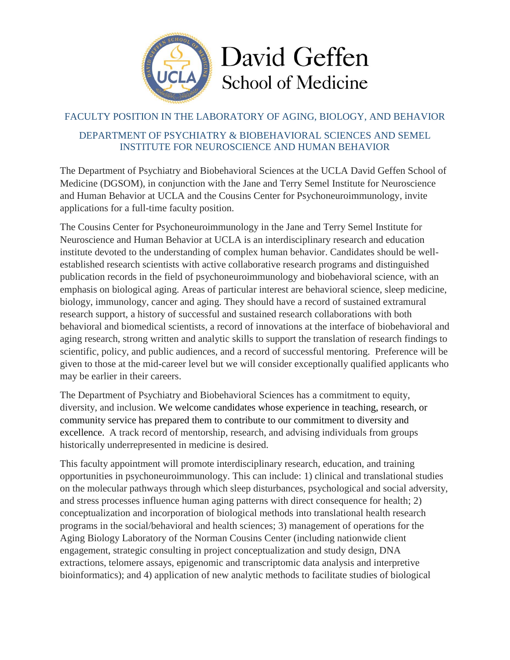

# FACULTY POSITION IN THE LABORATORY OF AGING, BIOLOGY, AND BEHAVIOR

## DEPARTMENT OF PSYCHIATRY & BIOBEHAVIORAL SCIENCES AND SEMEL INSTITUTE FOR NEUROSCIENCE AND HUMAN BEHAVIOR

The Department of Psychiatry and Biobehavioral Sciences at the UCLA David Geffen School of Medicine (DGSOM), in conjunction with the Jane and Terry Semel Institute for Neuroscience and Human Behavior at UCLA and the Cousins Center for Psychoneuroimmunology, invite applications for a full-time faculty position.

The Cousins Center for Psychoneuroimmunology in the Jane and Terry Semel Institute for Neuroscience and Human Behavior at UCLA is an interdisciplinary research and education institute devoted to the understanding of complex human behavior. Candidates should be wellestablished research scientists with active collaborative research programs and distinguished publication records in the field of psychoneuroimmunology and biobehavioral science, with an emphasis on biological aging. Areas of particular interest are behavioral science, sleep medicine, biology, immunology, cancer and aging. They should have a record of sustained extramural research support, a history of successful and sustained research collaborations with both behavioral and biomedical scientists, a record of innovations at the interface of biobehavioral and aging research, strong written and analytic skills to support the translation of research findings to scientific, policy, and public audiences, and a record of successful mentoring. Preference will be given to those at the mid-career level but we will consider exceptionally qualified applicants who may be earlier in their careers.

The Department of Psychiatry and Biobehavioral Sciences has a commitment to equity, diversity, and inclusion. We welcome candidates whose experience in teaching, research, or community service has prepared them to contribute to our commitment to diversity and excellence. A track record of mentorship, research, and advising individuals from groups historically underrepresented in medicine is desired.

This faculty appointment will promote interdisciplinary research, education, and training opportunities in psychoneuroimmunology. This can include: 1) clinical and translational studies on the molecular pathways through which sleep disturbances, psychological and social adversity, and stress processes influence human aging patterns with direct consequence for health; 2) conceptualization and incorporation of biological methods into translational health research programs in the social/behavioral and health sciences; 3) management of operations for the Aging Biology Laboratory of the Norman Cousins Center (including nationwide client engagement, strategic consulting in project conceptualization and study design, DNA extractions, telomere assays, epigenomic and transcriptomic data analysis and interpretive bioinformatics); and 4) application of new analytic methods to facilitate studies of biological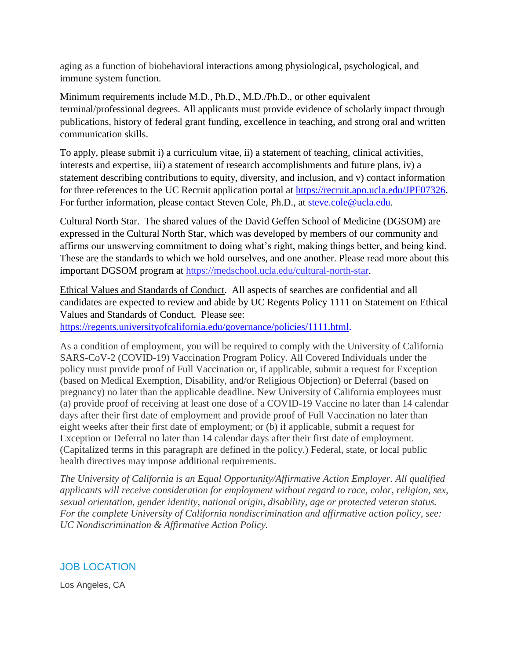aging as a function of biobehavioral interactions among physiological, psychological, and immune system function.

Minimum requirements include M.D., Ph.D., M.D./Ph.D., or other equivalent terminal/professional degrees. All applicants must provide evidence of scholarly impact through publications, history of federal grant funding, excellence in teaching, and strong oral and written communication skills.

To apply, please submit i) a curriculum vitae, ii) a statement of teaching, clinical activities, interests and expertise, iii) a statement of research accomplishments and future plans, iv) a statement describing contributions to equity, diversity, and inclusion, and v) contact information for three references to the UC Recruit application portal at [https://recruit.apo.ucla.edu/JPF07326.](https://recruit.apo.ucla.edu/JPF07326) For further information, please contact Steven Cole, Ph.D., at [steve.cole@ucla.edu.](mailto:steve.cole@ucla.edu)

Cultural North Star. The shared values of the David Geffen School of Medicine (DGSOM) are expressed in the Cultural North Star, which was developed by members of our community and affirms our unswerving commitment to doing what's right, making things better, and being kind. These are the standards to which we hold ourselves, and one another. Please read more about this important DGSOM program at [https://medschool.ucla.edu/cultural-north-star.](https://medschool.ucla.edu/cultural-north-star)

Ethical Values and Standards of Conduct. All aspects of searches are confidential and all candidates are expected to review and abide by UC Regents Policy 1111 on Statement on Ethical Values and Standards of Conduct. Please see:

[https://regents.universityofcalifornia.edu/governance/policies/1111.html.](https://regents.universityofcalifornia.edu/governance/policies/1111.html)

As a condition of employment, you will be required to comply with the University of California SARS-CoV-2 (COVID-19) Vaccination Program Policy. All Covered Individuals under the policy must provide proof of Full Vaccination or, if applicable, submit a request for Exception (based on Medical Exemption, Disability, and/or Religious Objection) or Deferral (based on pregnancy) no later than the applicable deadline. New University of California employees must (a) provide proof of receiving at least one dose of a COVID-19 Vaccine no later than 14 calendar days after their first date of employment and provide proof of Full Vaccination no later than eight weeks after their first date of employment; or (b) if applicable, submit a request for Exception or Deferral no later than 14 calendar days after their first date of employment. (Capitalized terms in this paragraph are defined in the policy.) Federal, state, or local public health directives may impose additional requirements.

*The University of California is an Equal Opportunity/Affirmative Action Employer. All qualified applicants will receive consideration for employment without regard to race, color, religion, sex, sexual orientation, gender identity, national origin, disability, age or protected veteran status. For the complete University of California nondiscrimination and affirmative action policy, see: UC Nondiscrimination & Affirmative Action Policy.*

# JOB LOCATION

Los Angeles, CA